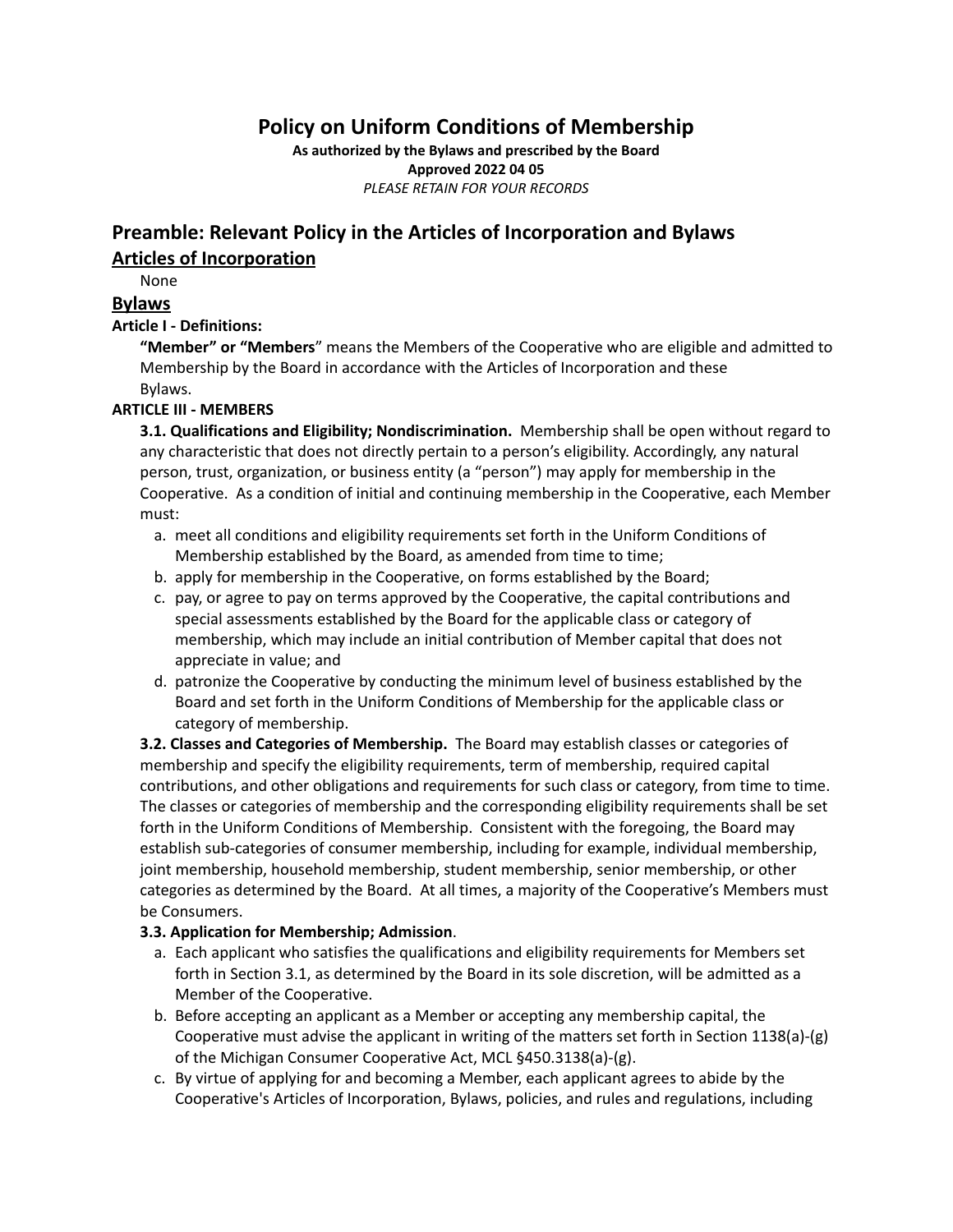## **Policy on Uniform Conditions of Membership**

**As authorized by the Bylaws and prescribed by the Board Approved 2022 04 05** *PLEASE RETAIN FOR YOUR RECORDS*

## **Preamble: Relevant Policy in the Articles of Incorporation and Bylaws Articles of Incorporation**

None

## **Bylaws**

## **Article I - Definitions:**

**"Member" or "Members**" means the Members of the Cooperative who are eligible and admitted to Membership by the Board in accordance with the Articles of Incorporation and these Bylaws.

## **ARTICLE III - MEMBERS**

**3.1. Qualifications and Eligibility; Nondiscrimination.** Membership shall be open without regard to any characteristic that does not directly pertain to a person's eligibility. Accordingly, any natural person, trust, organization, or business entity (a "person") may apply for membership in the Cooperative. As a condition of initial and continuing membership in the Cooperative, each Member must:

- a. meet all conditions and eligibility requirements set forth in the Uniform Conditions of Membership established by the Board, as amended from time to time;
- b. apply for membership in the Cooperative, on forms established by the Board;
- c. pay, or agree to pay on terms approved by the Cooperative, the capital contributions and special assessments established by the Board for the applicable class or category of membership, which may include an initial contribution of Member capital that does not appreciate in value; and
- d. patronize the Cooperative by conducting the minimum level of business established by the Board and set forth in the Uniform Conditions of Membership for the applicable class or category of membership.

**3.2. Classes and Categories of Membership.** The Board may establish classes or categories of membership and specify the eligibility requirements, term of membership, required capital contributions, and other obligations and requirements for such class or category, from time to time. The classes or categories of membership and the corresponding eligibility requirements shall be set forth in the Uniform Conditions of Membership. Consistent with the foregoing, the Board may establish sub-categories of consumer membership, including for example, individual membership, joint membership, household membership, student membership, senior membership, or other categories as determined by the Board. At all times, a majority of the Cooperative's Members must be Consumers.

## **3.3. Application for Membership; Admission**.

- a. Each applicant who satisfies the qualifications and eligibility requirements for Members set forth in Section 3.1, as determined by the Board in its sole discretion, will be admitted as a Member of the Cooperative.
- b. Before accepting an applicant as a Member or accepting any membership capital, the Cooperative must advise the applicant in writing of the matters set forth in Section 1138(a)-(g) of the Michigan Consumer Cooperative Act, MCL §450.3138(a)-(g).
- c. By virtue of applying for and becoming a Member, each applicant agrees to abide by the Cooperative's Articles of Incorporation, Bylaws, policies, and rules and regulations, including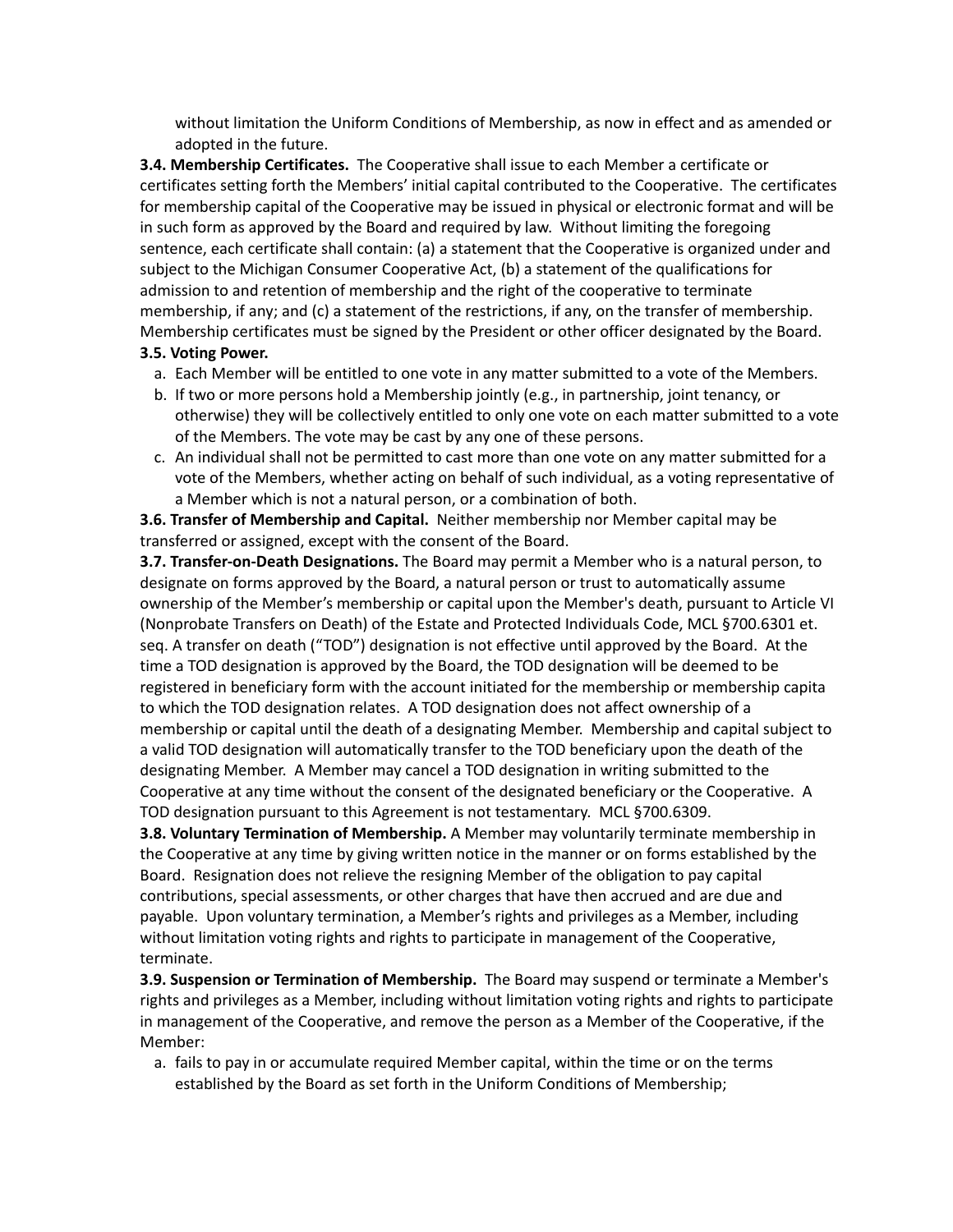without limitation the Uniform Conditions of Membership, as now in effect and as amended or adopted in the future.

**3.4. Membership Certificates.** The Cooperative shall issue to each Member a certificate or certificates setting forth the Members' initial capital contributed to the Cooperative. The certificates for membership capital of the Cooperative may be issued in physical or electronic format and will be in such form as approved by the Board and required by law. Without limiting the foregoing sentence, each certificate shall contain: (a) a statement that the Cooperative is organized under and subject to the Michigan Consumer Cooperative Act, (b) a statement of the qualifications for admission to and retention of membership and the right of the cooperative to terminate membership, if any; and (c) a statement of the restrictions, if any, on the transfer of membership. Membership certificates must be signed by the President or other officer designated by the Board.

## **3.5. Voting Power.**

- a. Each Member will be entitled to one vote in any matter submitted to a vote of the Members.
- b. If two or more persons hold a Membership jointly (e.g., in partnership, joint tenancy, or otherwise) they will be collectively entitled to only one vote on each matter submitted to a vote of the Members. The vote may be cast by any one of these persons.
- c. An individual shall not be permitted to cast more than one vote on any matter submitted for a vote of the Members, whether acting on behalf of such individual, as a voting representative of a Member which is not a natural person, or a combination of both.

**3.6. Transfer of Membership and Capital.** Neither membership nor Member capital may be transferred or assigned, except with the consent of the Board.

**3.7. Transfer-on-Death Designations.** The Board may permit a Member who is a natural person, to designate on forms approved by the Board, a natural person or trust to automatically assume ownership of the Member's membership or capital upon the Member's death, pursuant to Article VI (Nonprobate Transfers on Death) of the Estate and Protected Individuals Code, MCL §700.6301 et. seq. A transfer on death ("TOD") designation is not effective until approved by the Board. At the time a TOD designation is approved by the Board, the TOD designation will be deemed to be registered in beneficiary form with the account initiated for the membership or membership capita to which the TOD designation relates. A TOD designation does not affect ownership of a membership or capital until the death of a designating Member. Membership and capital subject to a valid TOD designation will automatically transfer to the TOD beneficiary upon the death of the designating Member. A Member may cancel a TOD designation in writing submitted to the Cooperative at any time without the consent of the designated beneficiary or the Cooperative. A TOD designation pursuant to this Agreement is not testamentary. MCL §700.6309.

**3.8. Voluntary Termination of Membership.** A Member may voluntarily terminate membership in the Cooperative at any time by giving written notice in the manner or on forms established by the Board. Resignation does not relieve the resigning Member of the obligation to pay capital contributions, special assessments, or other charges that have then accrued and are due and payable. Upon voluntary termination, a Member's rights and privileges as a Member, including without limitation voting rights and rights to participate in management of the Cooperative, terminate.

**3.9. Suspension or Termination of Membership.** The Board may suspend or terminate a Member's rights and privileges as a Member, including without limitation voting rights and rights to participate in management of the Cooperative, and remove the person as a Member of the Cooperative, if the Member:

a. fails to pay in or accumulate required Member capital, within the time or on the terms established by the Board as set forth in the Uniform Conditions of Membership;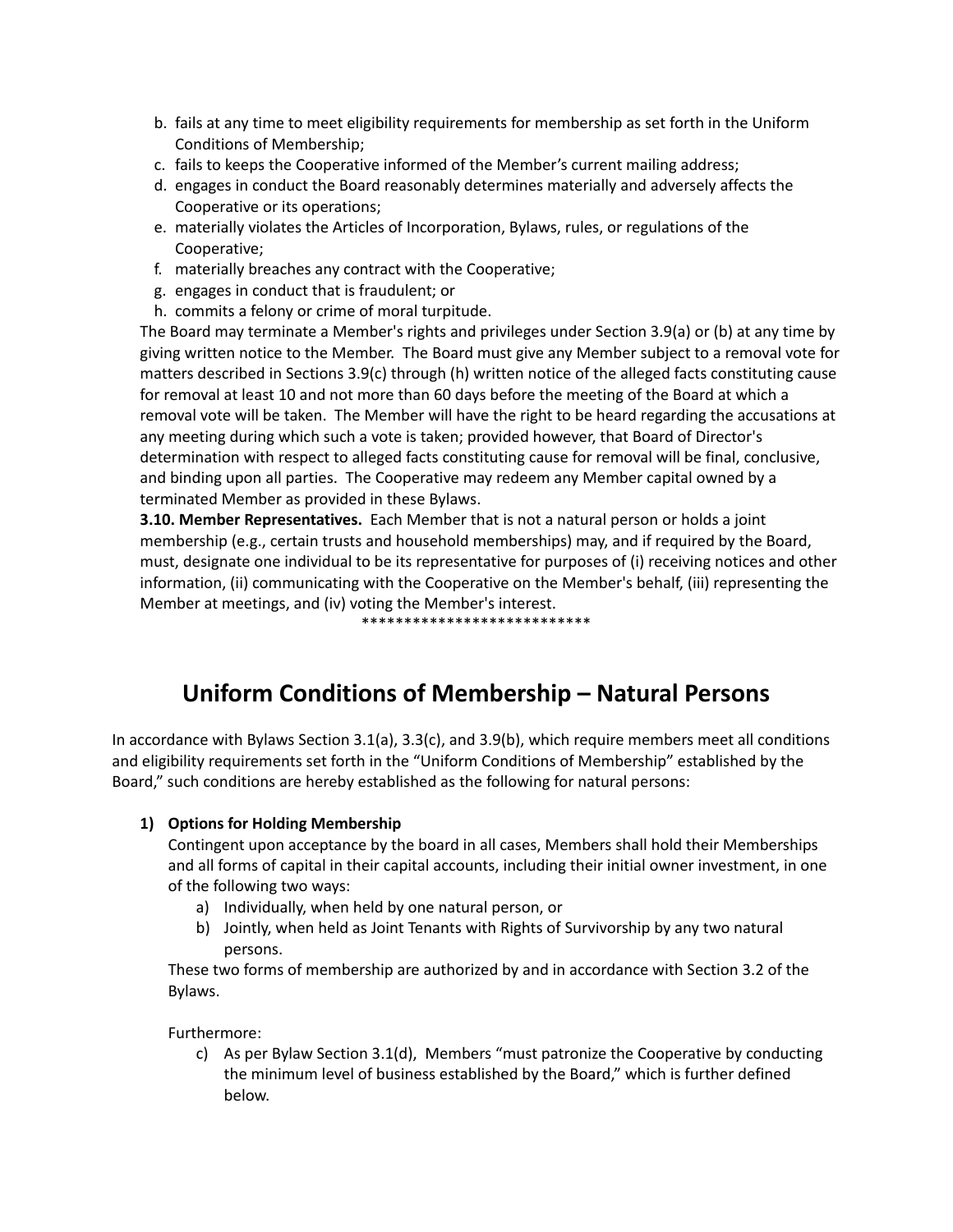- b. fails at any time to meet eligibility requirements for membership as set forth in the Uniform Conditions of Membership;
- c. fails to keeps the Cooperative informed of the Member's current mailing address;
- d. engages in conduct the Board reasonably determines materially and adversely affects the Cooperative or its operations;
- e. materially violates the Articles of Incorporation, Bylaws, rules, or regulations of the Cooperative;
- f. materially breaches any contract with the Cooperative;
- g. engages in conduct that is fraudulent; or
- h. commits a felony or crime of moral turpitude.

The Board may terminate a Member's rights and privileges under Section 3.9(a) or (b) at any time by giving written notice to the Member. The Board must give any Member subject to a removal vote for matters described in Sections 3.9(c) through (h) written notice of the alleged facts constituting cause for removal at least 10 and not more than 60 days before the meeting of the Board at which a removal vote will be taken. The Member will have the right to be heard regarding the accusations at any meeting during which such a vote is taken; provided however, that Board of Director's determination with respect to alleged facts constituting cause for removal will be final, conclusive, and binding upon all parties. The Cooperative may redeem any Member capital owned by a terminated Member as provided in these Bylaws.

**3.10. Member Representatives.** Each Member that is not a natural person or holds a joint membership (e.g., certain trusts and household memberships) may, and if required by the Board, must, designate one individual to be its representative for purposes of (i) receiving notices and other information, (ii) communicating with the Cooperative on the Member's behalf, (iii) representing the Member at meetings, and (iv) voting the Member's interest.

\*\*\*\*\*\*\*\*\*\*\*\*\*\*\*\*\*\*\*\*\*\*\*\*\*\*\*

# **Uniform Conditions of Membership – Natural Persons**

In accordance with Bylaws Section 3.1(a), 3.3(c), and 3.9(b), which require members meet all conditions and eligibility requirements set forth in the "Uniform Conditions of Membership" established by the Board," such conditions are hereby established as the following for natural persons:

## **1) Options for Holding Membership**

Contingent upon acceptance by the board in all cases, Members shall hold their Memberships and all forms of capital in their capital accounts, including their initial owner investment, in one of the following two ways:

- a) Individually, when held by one natural person, or
- b) Jointly, when held as Joint Tenants with Rights of Survivorship by any two natural persons.

These two forms of membership are authorized by and in accordance with Section 3.2 of the Bylaws.

Furthermore:

c) As per Bylaw Section 3.1(d), Members "must patronize the Cooperative by conducting the minimum level of business established by the Board," which is further defined below.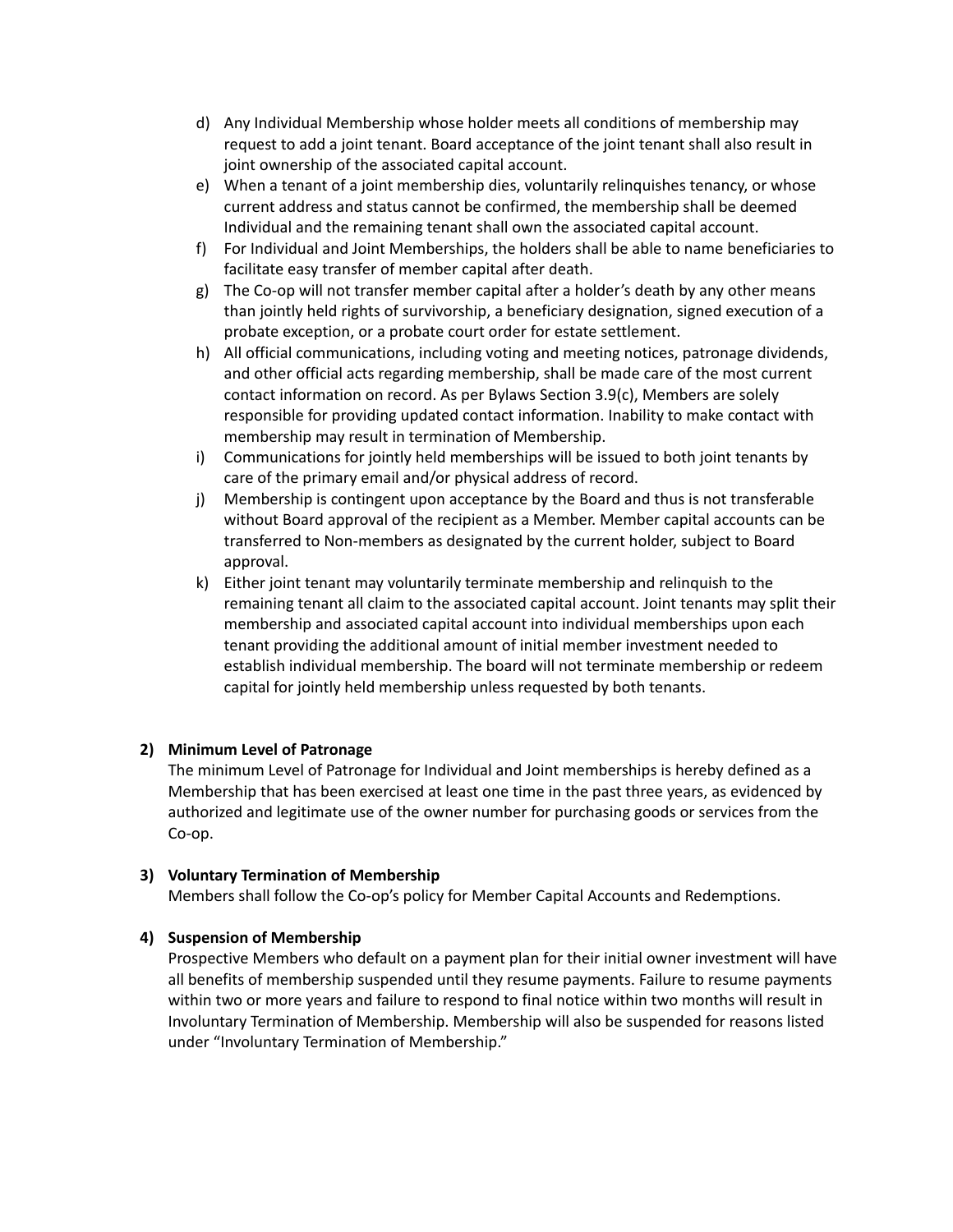- d) Any Individual Membership whose holder meets all conditions of membership may request to add a joint tenant. Board acceptance of the joint tenant shall also result in joint ownership of the associated capital account.
- e) When a tenant of a joint membership dies, voluntarily relinquishes tenancy, or whose current address and status cannot be confirmed, the membership shall be deemed Individual and the remaining tenant shall own the associated capital account.
- f) For Individual and Joint Memberships, the holders shall be able to name beneficiaries to facilitate easy transfer of member capital after death.
- g) The Co-op will not transfer member capital after a holder's death by any other means than jointly held rights of survivorship, a beneficiary designation, signed execution of a probate exception, or a probate court order for estate settlement.
- h) All official communications, including voting and meeting notices, patronage dividends, and other official acts regarding membership, shall be made care of the most current contact information on record. As per Bylaws Section 3.9(c), Members are solely responsible for providing updated contact information. Inability to make contact with membership may result in termination of Membership.
- i) Communications for jointly held memberships will be issued to both joint tenants by care of the primary email and/or physical address of record.
- j) Membership is contingent upon acceptance by the Board and thus is not transferable without Board approval of the recipient as a Member. Member capital accounts can be transferred to Non-members as designated by the current holder, subject to Board approval.
- k) Either joint tenant may voluntarily terminate membership and relinquish to the remaining tenant all claim to the associated capital account. Joint tenants may split their membership and associated capital account into individual memberships upon each tenant providing the additional amount of initial member investment needed to establish individual membership. The board will not terminate membership or redeem capital for jointly held membership unless requested by both tenants.

## **2) Minimum Level of Patronage**

The minimum Level of Patronage for Individual and Joint memberships is hereby defined as a Membership that has been exercised at least one time in the past three years, as evidenced by authorized and legitimate use of the owner number for purchasing goods or services from the Co-op.

## **3) Voluntary Termination of Membership**

Members shall follow the Co-op's policy for Member Capital Accounts and Redemptions.

## **4) Suspension of Membership**

Prospective Members who default on a payment plan for their initial owner investment will have all benefits of membership suspended until they resume payments. Failure to resume payments within two or more years and failure to respond to final notice within two months will result in Involuntary Termination of Membership. Membership will also be suspended for reasons listed under "Involuntary Termination of Membership."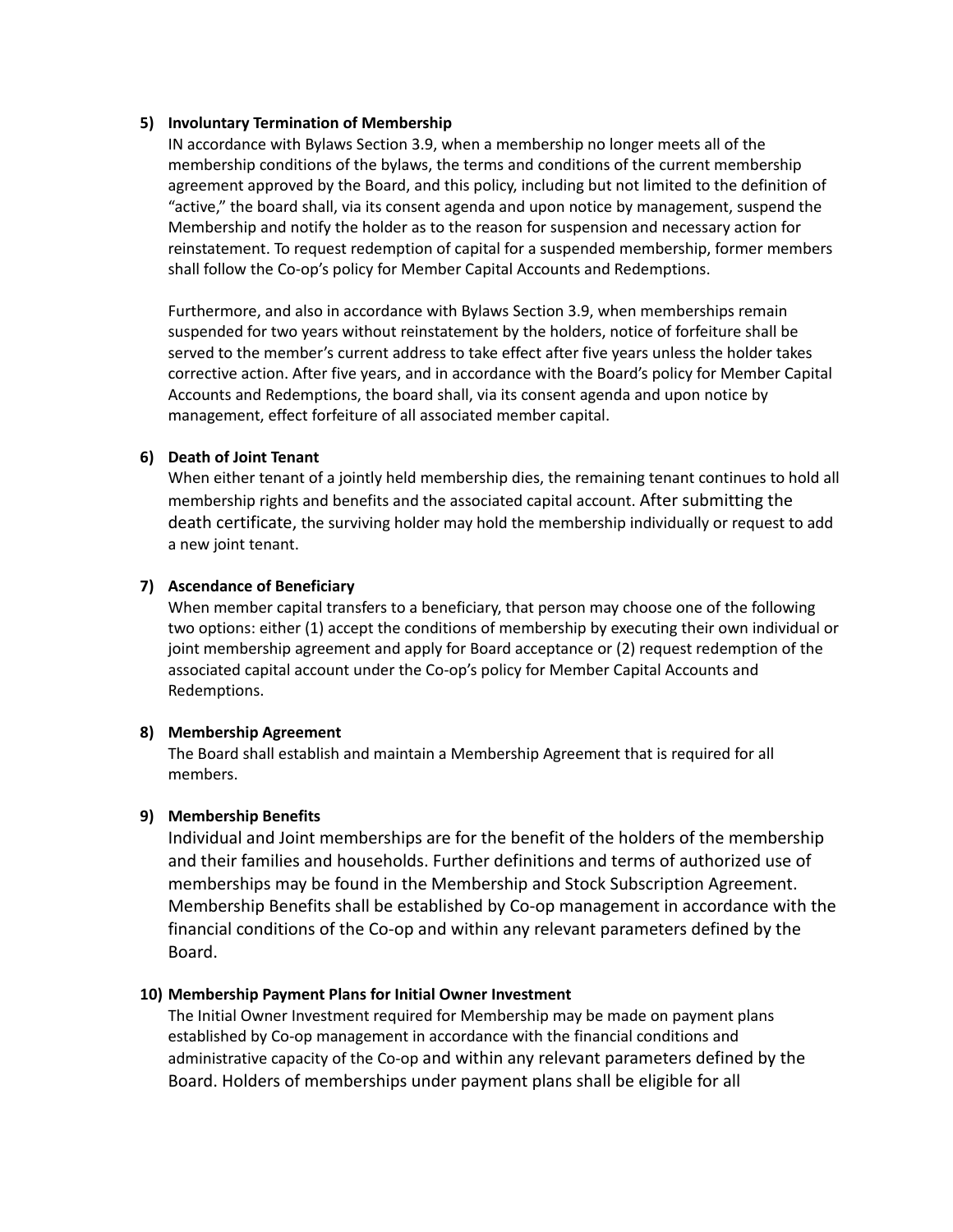#### **5) Involuntary Termination of Membership**

IN accordance with Bylaws Section 3.9, when a membership no longer meets all of the membership conditions of the bylaws, the terms and conditions of the current membership agreement approved by the Board, and this policy, including but not limited to the definition of "active," the board shall, via its consent agenda and upon notice by management, suspend the Membership and notify the holder as to the reason for suspension and necessary action for reinstatement. To request redemption of capital for a suspended membership, former members shall follow the Co-op's policy for Member Capital Accounts and Redemptions.

Furthermore, and also in accordance with Bylaws Section 3.9, when memberships remain suspended for two years without reinstatement by the holders, notice of forfeiture shall be served to the member's current address to take effect after five years unless the holder takes corrective action. After five years, and in accordance with the Board's policy for Member Capital Accounts and Redemptions, the board shall, via its consent agenda and upon notice by management, effect forfeiture of all associated member capital.

## **6) Death of Joint Tenant**

When either tenant of a jointly held membership dies, the remaining tenant continues to hold all membership rights and benefits and the associated capital account. After submitting the death certificate, the surviving holder may hold the membership individually or request to add a new joint tenant.

## **7) Ascendance of Beneficiary**

When member capital transfers to a beneficiary, that person may choose one of the following two options: either (1) accept the conditions of membership by executing their own individual or joint membership agreement and apply for Board acceptance or (2) request redemption of the associated capital account under the Co-op's policy for Member Capital Accounts and Redemptions.

## **8) Membership Agreement**

The Board shall establish and maintain a Membership Agreement that is required for all members.

## **9) Membership Benefits**

Individual and Joint memberships are for the benefit of the holders of the membership and their families and households. Further definitions and terms of authorized use of memberships may be found in the Membership and Stock Subscription Agreement. Membership Benefits shall be established by Co-op management in accordance with the financial conditions of the Co-op and within any relevant parameters defined by the Board.

## **10) Membership Payment Plans for Initial Owner Investment**

The Initial Owner Investment required for Membership may be made on payment plans established by Co-op management in accordance with the financial conditions and administrative capacity of the Co-op and within any relevant parameters defined by the Board. Holders of memberships under payment plans shall be eligible for all